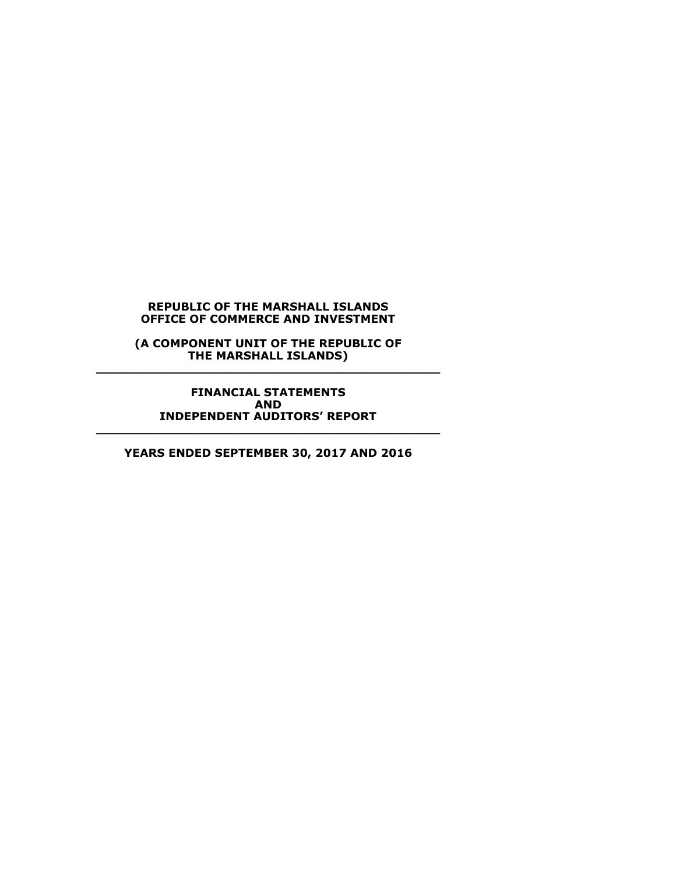#### **REPUBLIC OF THE MARSHALL ISLANDS OFFICE OF COMMERCE AND INVESTMENT**

**(A COMPONENT UNIT OF THE REPUBLIC OF THE MARSHALL ISLANDS) \_\_\_\_\_\_\_\_\_\_\_\_\_\_\_\_\_\_\_\_\_\_\_\_\_\_\_\_\_\_\_\_\_\_\_\_\_\_\_\_\_\_\_\_**

**FINANCIAL STATEMENTS AND INDEPENDENT AUDITORS' REPORT \_\_\_\_\_\_\_\_\_\_\_\_\_\_\_\_\_\_\_\_\_\_\_\_\_\_\_\_\_\_\_\_\_\_\_\_\_\_\_\_\_\_\_\_**

**YEARS ENDED SEPTEMBER 30, 2017 AND 2016**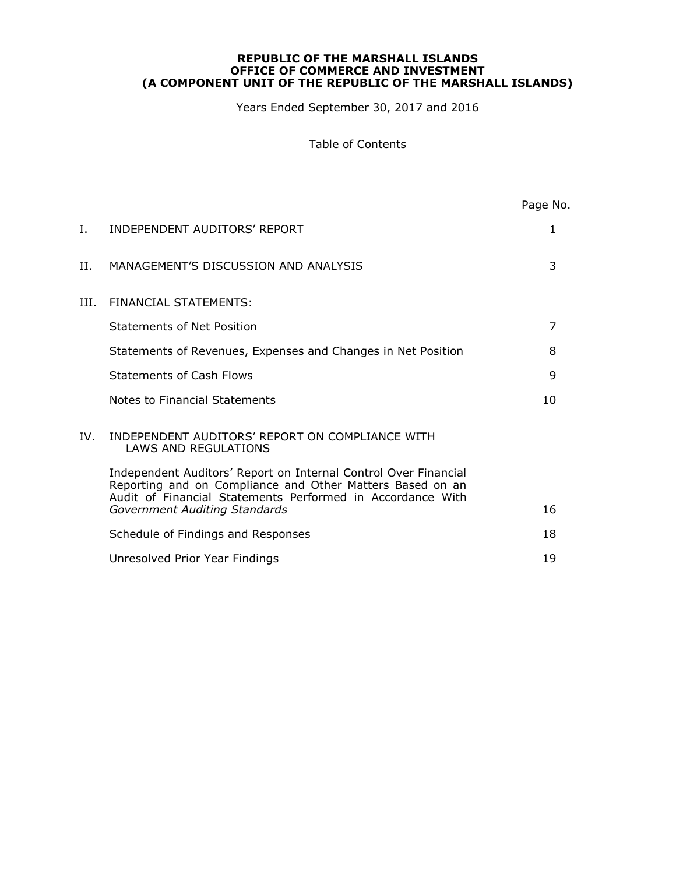Years Ended September 30, 2017 and 2016

Table of Contents

|      |                                                                                                                                                                                            | Page No. |
|------|--------------------------------------------------------------------------------------------------------------------------------------------------------------------------------------------|----------|
| Ī.   | INDEPENDENT AUDITORS' REPORT                                                                                                                                                               | 1        |
| H.   | MANAGEMENT'S DISCUSSION AND ANALYSIS                                                                                                                                                       | 3        |
| TTT. | FINANCIAL STATEMENTS:                                                                                                                                                                      |          |
|      | Statements of Net Position                                                                                                                                                                 | 7        |
|      | Statements of Revenues, Expenses and Changes in Net Position                                                                                                                               | 8        |
|      | Statements of Cash Flows                                                                                                                                                                   | 9        |
|      | Notes to Financial Statements                                                                                                                                                              | 10       |
| IV.  | INDEPENDENT AUDITORS' REPORT ON COMPLIANCE WITH<br>LAWS AND REGULATIONS                                                                                                                    |          |
|      | Independent Auditors' Report on Internal Control Over Financial<br>Reporting and on Compliance and Other Matters Based on an<br>Audit of Financial Statements Performed in Accordance With |          |
|      | <b>Government Auditing Standards</b>                                                                                                                                                       | 16       |
|      | Schedule of Findings and Responses                                                                                                                                                         | 18       |
|      | Unresolved Prior Year Findings                                                                                                                                                             | 19       |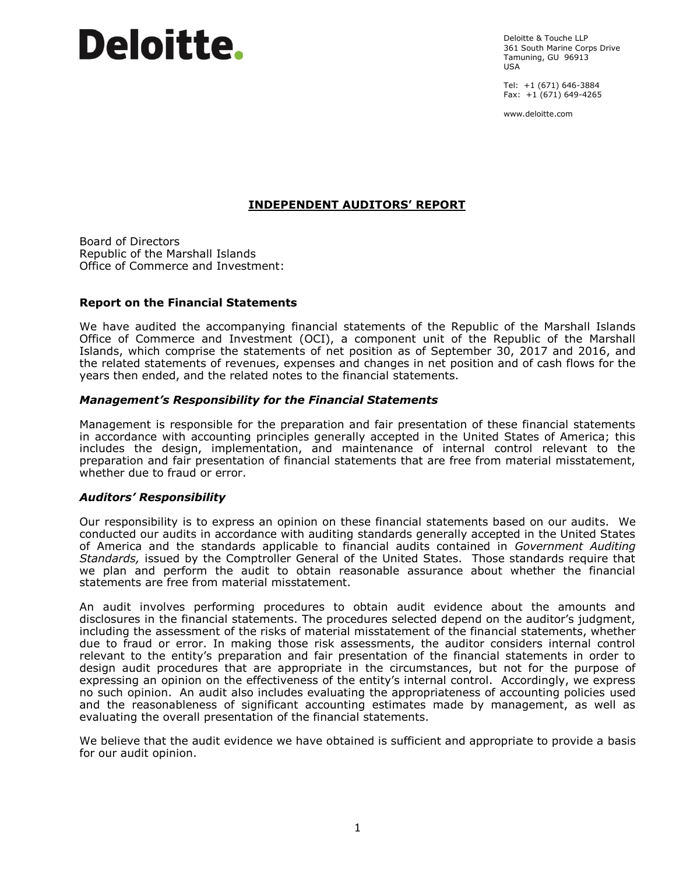# **Deloitte.**

Deloitte & Touche LLP 361 South Marine Corps Drive Tamuning, GU 96913 USA

Tel: +1 (671) 646-3884 Fax: +1 (671) 649-4265

www.deloitte.com

# **INDEPENDENT AUDITORS' REPORT**

Board of Directors Republic of the Marshall Islands Office of Commerce and Investment:

# **Report on the Financial Statements**

We have audited the accompanying financial statements of the Republic of the Marshall Islands Office of Commerce and Investment (OCI), a component unit of the Republic of the Marshall Islands, which comprise the statements of net position as of September 30, 2017 and 2016, and the related statements of revenues, expenses and changes in net position and of cash flows for the years then ended, and the related notes to the financial statements.

# *Management's Responsibility for the Financial Statements*

Management is responsible for the preparation and fair presentation of these financial statements in accordance with accounting principles generally accepted in the United States of America; this includes the design, implementation, and maintenance of internal control relevant to the preparation and fair presentation of financial statements that are free from material misstatement, whether due to fraud or error.

#### *Auditors' Responsibility*

Our responsibility is to express an opinion on these financial statements based on our audits. We conducted our audits in accordance with auditing standards generally accepted in the United States of America and the standards applicable to financial audits contained in *Government Auditing Standards,* issued by the Comptroller General of the United States. Those standards require that we plan and perform the audit to obtain reasonable assurance about whether the financial statements are free from material misstatement.

An audit involves performing procedures to obtain audit evidence about the amounts and disclosures in the financial statements. The procedures selected depend on the auditor's judgment, including the assessment of the risks of material misstatement of the financial statements, whether due to fraud or error. In making those risk assessments, the auditor considers internal control relevant to the entity's preparation and fair presentation of the financial statements in order to design audit procedures that are appropriate in the circumstances, but not for the purpose of expressing an opinion on the effectiveness of the entity's internal control. Accordingly, we express no such opinion. An audit also includes evaluating the appropriateness of accounting policies used and the reasonableness of significant accounting estimates made by management, as well as evaluating the overall presentation of the financial statements.

We believe that the audit evidence we have obtained is sufficient and appropriate to provide a basis for our audit opinion.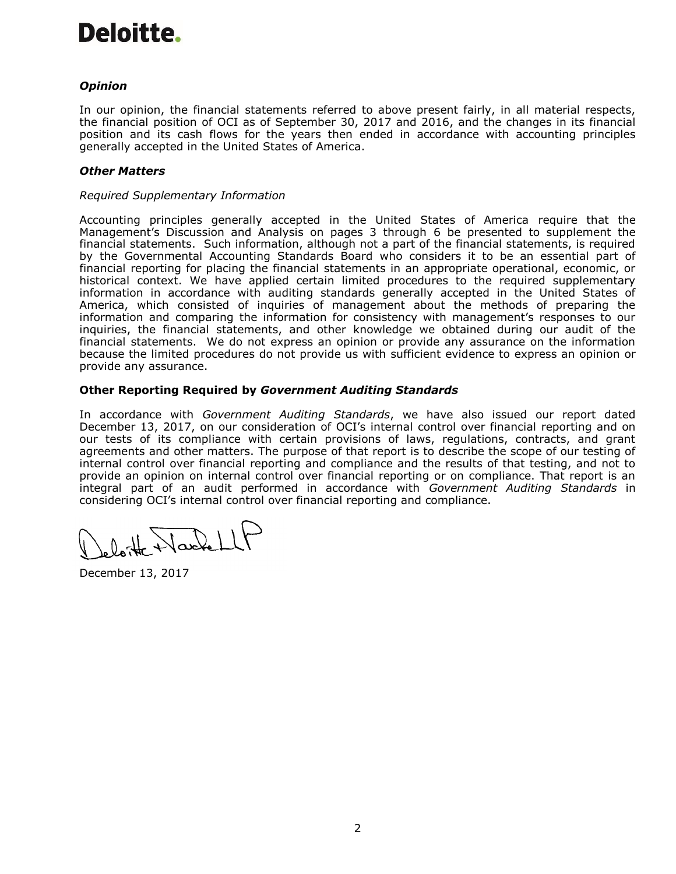# Deloitte.

# *Opinion*

In our opinion, the financial statements referred to above present fairly, in all material respects, the financial position of OCI as of September 30, 2017 and 2016, and the changes in its financial position and its cash flows for the years then ended in accordance with accounting principles generally accepted in the United States of America.

# *Other Matters*

# *Required Supplementary Information*

Accounting principles generally accepted in the United States of America require that the Management's Discussion and Analysis on pages 3 through 6 be presented to supplement the financial statements. Such information, although not a part of the financial statements, is required by the Governmental Accounting Standards Board who considers it to be an essential part of financial reporting for placing the financial statements in an appropriate operational, economic, or historical context. We have applied certain limited procedures to the required supplementary information in accordance with auditing standards generally accepted in the United States of America, which consisted of inquiries of management about the methods of preparing the information and comparing the information for consistency with management's responses to our inquiries, the financial statements, and other knowledge we obtained during our audit of the financial statements. We do not express an opinion or provide any assurance on the information because the limited procedures do not provide us with sufficient evidence to express an opinion or provide any assurance.

# **Other Reporting Required by** *Government Auditing Standards*

In accordance with *Government Auditing Standards*, we have also issued our report dated December 13, 2017, on our consideration of OCI's internal control over financial reporting and on our tests of its compliance with certain provisions of laws, regulations, contracts, and grant agreements and other matters. The purpose of that report is to describe the scope of our testing of internal control over financial reporting and compliance and the results of that testing, and not to provide an opinion on internal control over financial reporting or on compliance. That report is an integral part of an audit performed in accordance with *Government Auditing Standards* in considering OCI's internal control over financial reporting and compliance.

December 13, 2017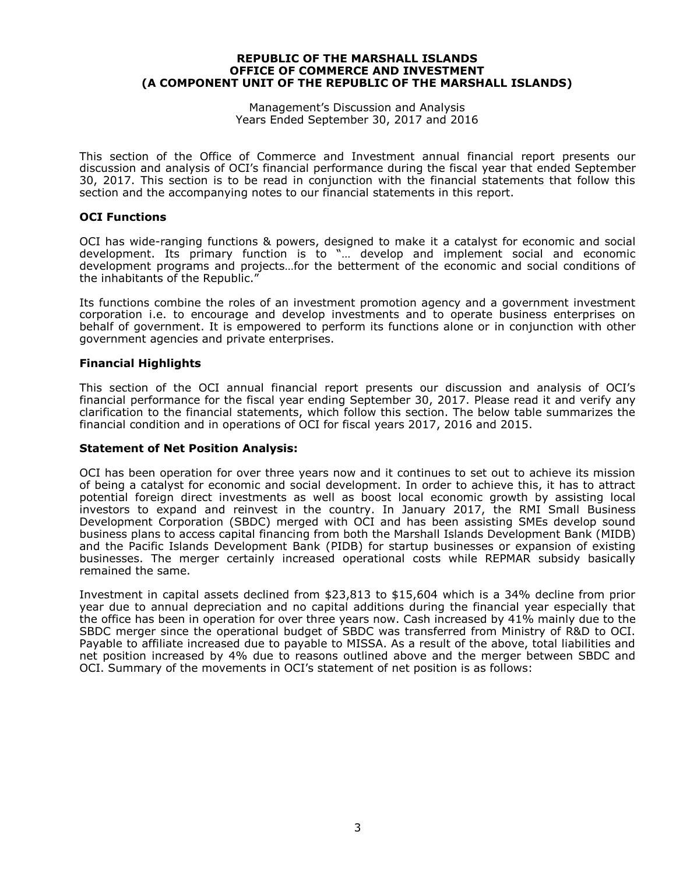Management's Discussion and Analysis Years Ended September 30, 2017 and 2016

This section of the Office of Commerce and Investment annual financial report presents our discussion and analysis of OCI's financial performance during the fiscal year that ended September 30, 2017. This section is to be read in conjunction with the financial statements that follow this section and the accompanying notes to our financial statements in this report.

# **OCI Functions**

OCI has wide-ranging functions & powers, designed to make it a catalyst for economic and social development. Its primary function is to "… develop and implement social and economic development programs and projects…for the betterment of the economic and social conditions of the inhabitants of the Republic."

Its functions combine the roles of an investment promotion agency and a government investment corporation i.e. to encourage and develop investments and to operate business enterprises on behalf of government. It is empowered to perform its functions alone or in conjunction with other government agencies and private enterprises.

# **Financial Highlights**

This section of the OCI annual financial report presents our discussion and analysis of OCI's financial performance for the fiscal year ending September 30, 2017. Please read it and verify any clarification to the financial statements, which follow this section. The below table summarizes the financial condition and in operations of OCI for fiscal years 2017, 2016 and 2015.

#### **Statement of Net Position Analysis:**

OCI has been operation for over three years now and it continues to set out to achieve its mission of being a catalyst for economic and social development. In order to achieve this, it has to attract potential foreign direct investments as well as boost local economic growth by assisting local investors to expand and reinvest in the country. In January 2017, the RMI Small Business Development Corporation (SBDC) merged with OCI and has been assisting SMEs develop sound business plans to access capital financing from both the Marshall Islands Development Bank (MIDB) and the Pacific Islands Development Bank (PIDB) for startup businesses or expansion of existing businesses. The merger certainly increased operational costs while REPMAR subsidy basically remained the same.

Investment in capital assets declined from \$23,813 to \$15,604 which is a 34% decline from prior year due to annual depreciation and no capital additions during the financial year especially that the office has been in operation for over three years now. Cash increased by 41% mainly due to the SBDC merger since the operational budget of SBDC was transferred from Ministry of R&D to OCI. Payable to affiliate increased due to payable to MISSA. As a result of the above, total liabilities and net position increased by 4% due to reasons outlined above and the merger between SBDC and OCI. Summary of the movements in OCI's statement of net position is as follows: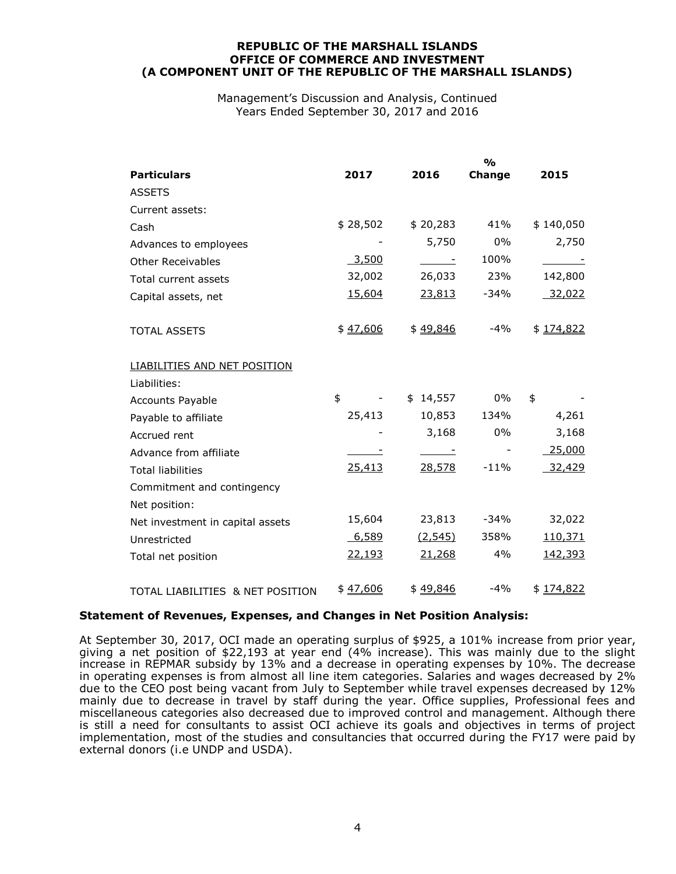Management's Discussion and Analysis, Continued Years Ended September 30, 2017 and 2016

| <b>Particulars</b>                  | 2017         | 2016     | $\frac{0}{0}$<br>Change | 2015      |
|-------------------------------------|--------------|----------|-------------------------|-----------|
|                                     |              |          |                         |           |
| <b>ASSETS</b>                       |              |          |                         |           |
| Current assets:                     |              |          |                         |           |
| Cash                                | \$28,502     | \$20,283 | 41%                     | \$140,050 |
| Advances to employees               |              | 5,750    | $0\%$                   | 2,750     |
| Other Receivables                   | 3,500        |          | 100%                    |           |
| Total current assets                | 32,002       | 26,033   | 23%                     | 142,800   |
| Capital assets, net                 | 15,604       | 23,813   | $-34%$                  | 32,022    |
| <b>TOTAL ASSETS</b>                 | \$47,606     | \$49,846 | $-4%$                   | \$174,822 |
| <b>LIABILITIES AND NET POSITION</b> |              |          |                         |           |
| Liabilities:                        |              |          |                         |           |
| Accounts Payable                    | \$           | \$14,557 | $0\%$                   | \$        |
| Payable to affiliate                | 25,413       | 10,853   | 134%                    | 4,261     |
| Accrued rent                        |              | 3,168    | 0%                      | 3,168     |
| Advance from affiliate              |              |          |                         | 25,000    |
| <b>Total liabilities</b>            | 25,413       | 28,578   | $-11%$                  | 32,429    |
| Commitment and contingency          |              |          |                         |           |
| Net position:                       |              |          |                         |           |
| Net investment in capital assets    | 15,604       | 23,813   | $-34%$                  | 32,022    |
| Unrestricted                        | <u>6,589</u> | (2, 545) | 358%                    | 110,371   |
| Total net position                  | 22,193       | 21,268   | 4%                      | 142,393   |
| TOTAL LIABILITIES & NET POSITION    | \$47,606     | \$49,846 | $-4%$                   | \$174,822 |

#### **Statement of Revenues, Expenses, and Changes in Net Position Analysis:**

At September 30, 2017, OCI made an operating surplus of \$925, a 101% increase from prior year, giving a net position of \$22,193 at year end (4% increase). This was mainly due to the slight increase in REPMAR subsidy by 13% and a decrease in operating expenses by 10%. The decrease in operating expenses is from almost all line item categories. Salaries and wages decreased by 2% due to the CEO post being vacant from July to September while travel expenses decreased by 12% mainly due to decrease in travel by staff during the year. Office supplies, Professional fees and miscellaneous categories also decreased due to improved control and management. Although there is still a need for consultants to assist OCI achieve its goals and objectives in terms of project implementation, most of the studies and consultancies that occurred during the FY17 were paid by external donors (i.e UNDP and USDA).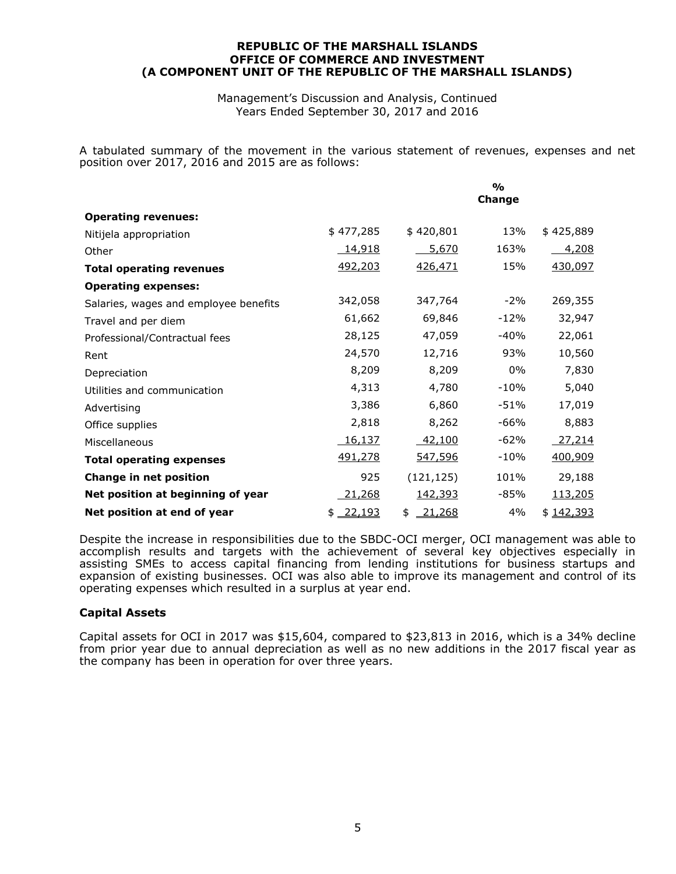Management's Discussion and Analysis, Continued Years Ended September 30, 2017 and 2016

A tabulated summary of the movement in the various statement of revenues, expenses and net position over 2017, 2016 and 2015 are as follows:

|                                       |               |                | $\frac{0}{0}$<br>Change |                |
|---------------------------------------|---------------|----------------|-------------------------|----------------|
| <b>Operating revenues:</b>            |               |                |                         |                |
| Nitijela appropriation                | \$477,285     | \$420,801      | 13%                     | \$425,889      |
| Other                                 | <u>14,918</u> | 5,670          | 163%                    | 4,208          |
| <b>Total operating revenues</b>       | 492,203       | 426,471        | 15%                     | 430,097        |
| <b>Operating expenses:</b>            |               |                |                         |                |
| Salaries, wages and employee benefits | 342,058       | 347,764        | $-2\%$                  | 269,355        |
| Travel and per diem                   | 61,662        | 69,846         | $-12%$                  | 32,947         |
| Professional/Contractual fees         | 28,125        | 47,059         | $-40%$                  | 22,061         |
| Rent                                  | 24,570        | 12,716         | 93%                     | 10,560         |
| Depreciation                          | 8,209         | 8,209          | $0\%$                   | 7,830          |
| Utilities and communication           | 4,313         | 4,780          | $-10%$                  | 5,040          |
| Advertising                           | 3,386         | 6,860          | $-51%$                  | 17,019         |
| Office supplies                       | 2,818         | 8,262          | -66%                    | 8,883          |
| Miscellaneous                         | 16,137        | 42,100         | -62%                    | 27,214         |
| <b>Total operating expenses</b>       | 491,278       | 547,596        | $-10%$                  | 400,909        |
| Change in net position                | 925           | (121, 125)     | 101%                    | 29,188         |
| Net position at beginning of year     | 21,268        | <u>142,393</u> | -85%                    | <u>113,205</u> |
| Net position at end of year           | \$ 22,193     | 21,268<br>\$   | 4%                      | \$142,393      |

Despite the increase in responsibilities due to the SBDC-OCI merger, OCI management was able to accomplish results and targets with the achievement of several key objectives especially in assisting SMEs to access capital financing from lending institutions for business startups and expansion of existing businesses. OCI was also able to improve its management and control of its operating expenses which resulted in a surplus at year end.

# **Capital Assets**

Capital assets for OCI in 2017 was \$15,604, compared to \$23,813 in 2016, which is a 34% decline from prior year due to annual depreciation as well as no new additions in the 2017 fiscal year as the company has been in operation for over three years.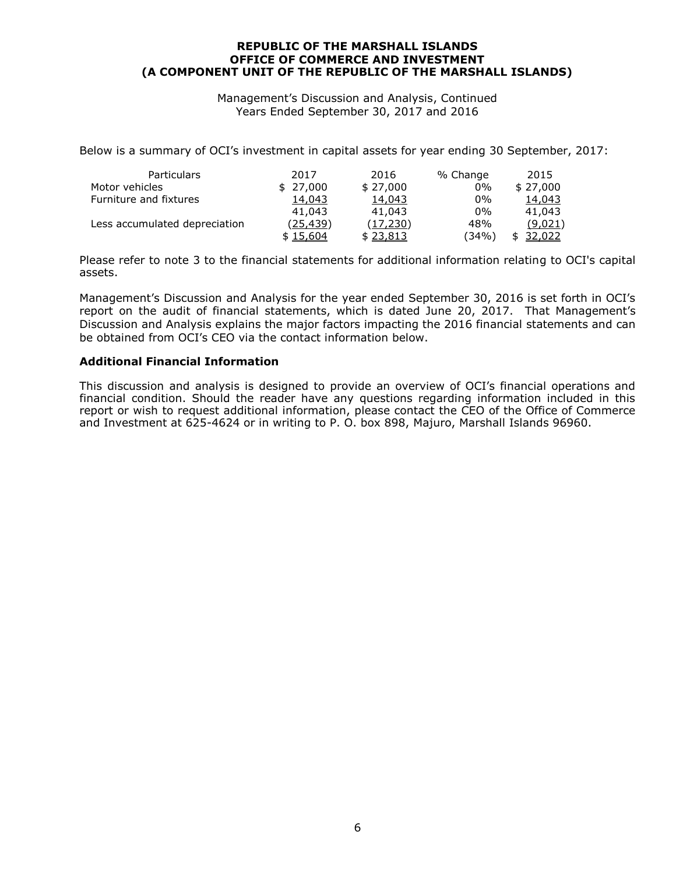Management's Discussion and Analysis, Continued Years Ended September 30, 2017 and 2016

Below is a summary of OCI's investment in capital assets for year ending 30 September, 2017:

| <b>Particulars</b>            | 2017      | 2016      | % Change | 2015     |
|-------------------------------|-----------|-----------|----------|----------|
| Motor vehicles                | 27,000    | \$27,000  | 0%       | \$27,000 |
| Furniture and fixtures        | 14,043    | 14,043    | $0\%$    | 14,043   |
|                               | 41,043    | 41,043    | $0\%$    | 41,043   |
| Less accumulated depreciation | (25, 439) | (17, 230) | 48%      | (9,021)  |
|                               | \$15,604  | \$23,813  | (34%)    | 32,022   |

Please refer to note 3 to the financial statements for additional information relating to OCI's capital assets.

Management's Discussion and Analysis for the year ended September 30, 2016 is set forth in OCI's report on the audit of financial statements, which is dated June 20, 2017. That Management's Discussion and Analysis explains the major factors impacting the 2016 financial statements and can be obtained from OCI's CEO via the contact information below.

# **Additional Financial Information**

This discussion and analysis is designed to provide an overview of OCI's financial operations and financial condition. Should the reader have any questions regarding information included in this report or wish to request additional information, please contact the CEO of the Office of Commerce and Investment at 625-4624 or in writing to P. O. box 898, Majuro, Marshall Islands 96960.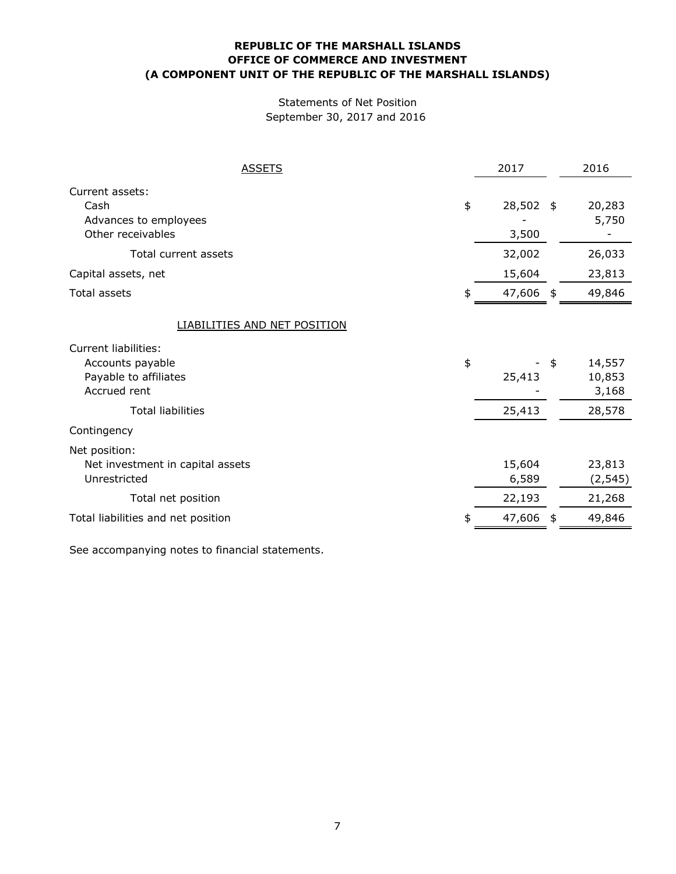# Statements of Net Position September 30, 2017 and 2016

| <b>ASSETS</b>                                                                            | 2017                      | 2016                            |
|------------------------------------------------------------------------------------------|---------------------------|---------------------------------|
| Current assets:<br>Cash<br>Advances to employees<br>Other receivables                    | \$<br>28,502 \$<br>3,500  | 20,283<br>5,750                 |
| Total current assets                                                                     | 32,002                    | 26,033                          |
| Capital assets, net                                                                      | 15,604                    | 23,813                          |
| <b>Total assets</b>                                                                      | \$<br>47,606              | \$<br>49,846                    |
| LIABILITIES AND NET POSITION                                                             |                           |                                 |
| <b>Current liabilities:</b><br>Accounts payable<br>Payable to affiliates<br>Accrued rent | \$<br>25,413              | \$<br>14,557<br>10,853<br>3,168 |
| <b>Total liabilities</b>                                                                 | 25,413                    | 28,578                          |
| Contingency                                                                              |                           |                                 |
| Net position:<br>Net investment in capital assets<br>Unrestricted<br>Total net position  | 15,604<br>6,589<br>22,193 | 23,813<br>(2, 545)<br>21,268    |
| Total liabilities and net position                                                       | \$<br>47,606              | \$<br>49,846                    |
|                                                                                          |                           |                                 |

See accompanying notes to financial statements.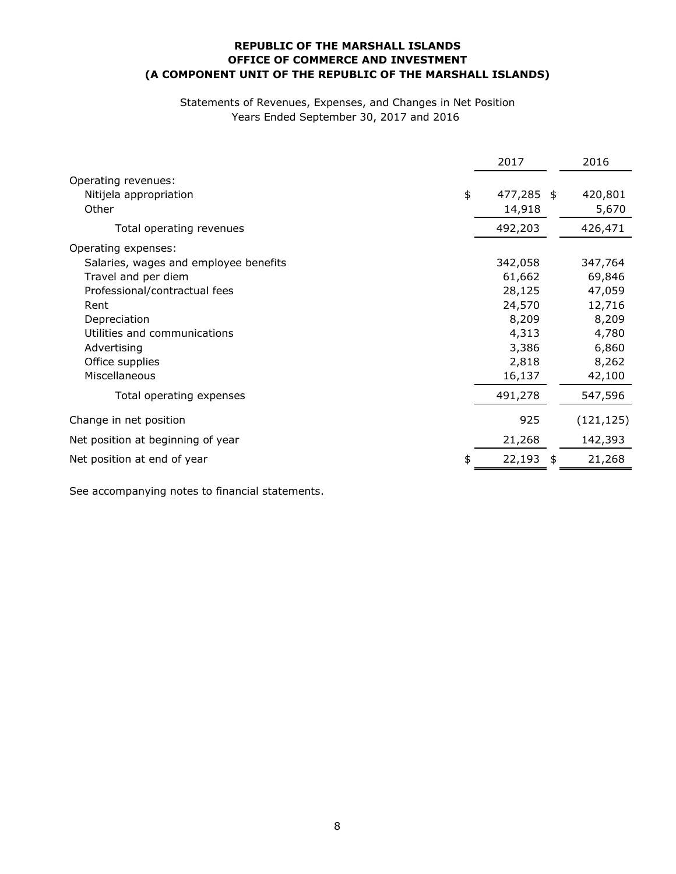Statements of Revenues, Expenses, and Changes in Net Position Years Ended September 30, 2017 and 2016

|                                       | 2017        | 2016       |
|---------------------------------------|-------------|------------|
| Operating revenues:                   |             |            |
| \$<br>Nitijela appropriation          | 477,285 \$  | 420,801    |
| Other                                 | 14,918      | 5,670      |
| Total operating revenues              | 492,203     | 426,471    |
| Operating expenses:                   |             |            |
| Salaries, wages and employee benefits | 342,058     | 347,764    |
| Travel and per diem                   | 61,662      | 69,846     |
| Professional/contractual fees         | 28,125      | 47,059     |
| Rent                                  | 24,570      | 12,716     |
| Depreciation                          | 8,209       | 8,209      |
| Utilities and communications          | 4,313       | 4,780      |
| Advertising                           | 3,386       | 6,860      |
| Office supplies                       | 2,818       | 8,262      |
| Miscellaneous                         | 16,137      | 42,100     |
| Total operating expenses              | 491,278     | 547,596    |
| Change in net position                | 925         | (121, 125) |
| Net position at beginning of year     | 21,268      | 142,393    |
| Net position at end of year<br>\$     | $22,193$ \$ | 21,268     |

See accompanying notes to financial statements.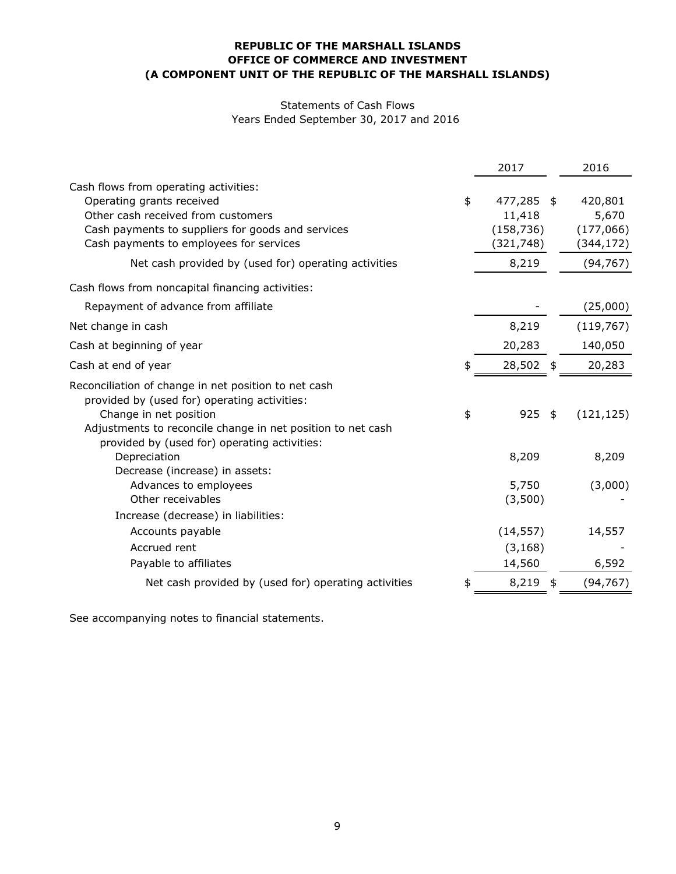# Statements of Cash Flows

Years Ended September 30, 2017 and 2016

|                                                                                                                                                                                                                                               | 2017                                                | 2016                                              |
|-----------------------------------------------------------------------------------------------------------------------------------------------------------------------------------------------------------------------------------------------|-----------------------------------------------------|---------------------------------------------------|
| Cash flows from operating activities:<br>Operating grants received<br>Other cash received from customers<br>Cash payments to suppliers for goods and services<br>Cash payments to employees for services                                      | \$<br>477,285<br>11,418<br>(158, 736)<br>(321, 748) | \$<br>420,801<br>5,670<br>(177,066)<br>(344, 172) |
| Net cash provided by (used for) operating activities                                                                                                                                                                                          | 8,219                                               | (94, 767)                                         |
| Cash flows from noncapital financing activities:                                                                                                                                                                                              |                                                     |                                                   |
| Repayment of advance from affiliate                                                                                                                                                                                                           |                                                     | (25,000)                                          |
| Net change in cash                                                                                                                                                                                                                            | 8,219                                               | (119, 767)                                        |
| Cash at beginning of year                                                                                                                                                                                                                     | 20,283                                              | 140,050                                           |
| Cash at end of year                                                                                                                                                                                                                           | 28,502                                              | \$<br>20,283                                      |
| Reconciliation of change in net position to net cash<br>provided by (used for) operating activities:<br>Change in net position<br>Adjustments to reconcile change in net position to net cash<br>provided by (used for) operating activities: | \$<br>$925$ \$                                      | (121, 125)                                        |
| Depreciation<br>Decrease (increase) in assets:                                                                                                                                                                                                | 8,209                                               | 8,209                                             |
| Advances to employees<br>Other receivables                                                                                                                                                                                                    | 5,750<br>(3,500)                                    | (3,000)                                           |
| Increase (decrease) in liabilities:                                                                                                                                                                                                           |                                                     |                                                   |
| Accounts payable                                                                                                                                                                                                                              | (14, 557)                                           | 14,557                                            |
| Accrued rent                                                                                                                                                                                                                                  | (3, 168)                                            |                                                   |
| Payable to affiliates                                                                                                                                                                                                                         | 14,560                                              | 6,592                                             |
| Net cash provided by (used for) operating activities                                                                                                                                                                                          | \$<br>8,219<br>\$                                   | (94, 767)                                         |

See accompanying notes to financial statements.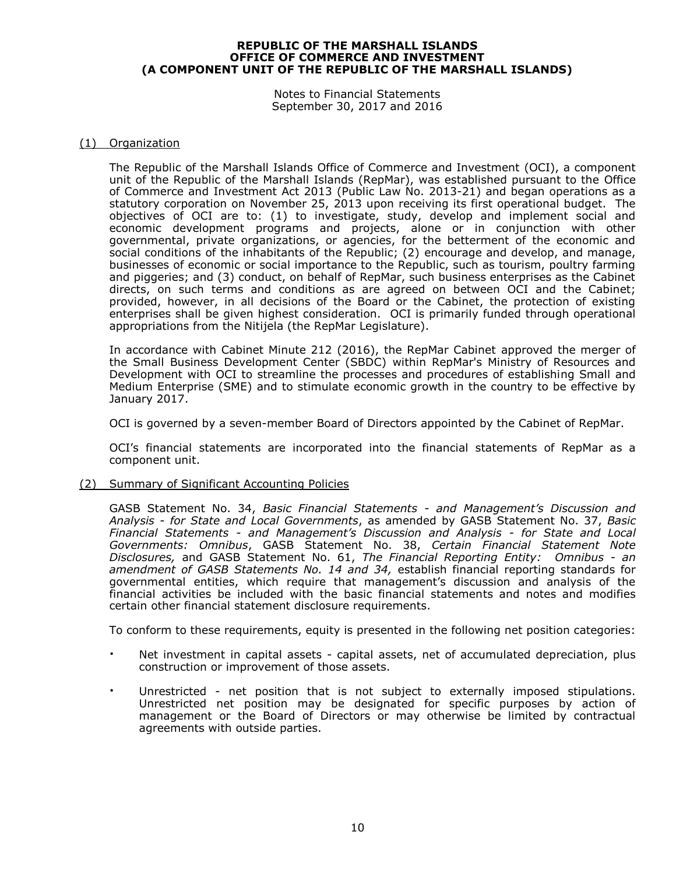Notes to Financial Statements September 30, 2017 and 2016

### (1) Organization

The Republic of the Marshall Islands Office of Commerce and Investment (OCI), a component unit of the Republic of the Marshall Islands (RepMar), was established pursuant to the Office of Commerce and Investment Act 2013 (Public Law No. 2013-21) and began operations as a statutory corporation on November 25, 2013 upon receiving its first operational budget. The objectives of OCI are to: (1) to investigate, study, develop and implement social and economic development programs and projects, alone or in conjunction with other governmental, private organizations, or agencies, for the betterment of the economic and social conditions of the inhabitants of the Republic; (2) encourage and develop, and manage, businesses of economic or social importance to the Republic, such as tourism, poultry farming and piggeries; and (3) conduct, on behalf of RepMar, such business enterprises as the Cabinet directs, on such terms and conditions as are agreed on between OCI and the Cabinet; provided, however, in all decisions of the Board or the Cabinet, the protection of existing enterprises shall be given highest consideration. OCI is primarily funded through operational appropriations from the Nitijela (the RepMar Legislature).

In accordance with Cabinet Minute 212 (2016), the RepMar Cabinet approved the merger of the Small Business Development Center (SBDC) within RepMar's Ministry of Resources and Development with OCI to streamline the processes and procedures of establishing Small and Medium Enterprise (SME) and to stimulate economic growth in the country to be effective by January 2017.

OCI is governed by a seven-member Board of Directors appointed by the Cabinet of RepMar.

OCI's financial statements are incorporated into the financial statements of RepMar as a component unit.

(2) Summary of Significant Accounting Policies

GASB Statement No. 34, *Basic Financial Statements - and Management's Discussion and Analysis - for State and Local Governments*, as amended by GASB Statement No. 37, *Basic Financial Statements - and Management's Discussion and Analysis - for State and Local Governments: Omnibus*, GASB Statement No. 38, *Certain Financial Statement Note Disclosures,* and GASB Statement No. 61, *The Financial Reporting Entity: Omnibus - an amendment of GASB Statements No. 14 and 34,* establish financial reporting standards for governmental entities, which require that management's discussion and analysis of the financial activities be included with the basic financial statements and notes and modifies certain other financial statement disclosure requirements.

To conform to these requirements, equity is presented in the following net position categories:

- Net investment in capital assets capital assets, net of accumulated depreciation, plus construction or improvement of those assets.
- Unrestricted net position that is not subject to externally imposed stipulations. Unrestricted net position may be designated for specific purposes by action of management or the Board of Directors or may otherwise be limited by contractual agreements with outside parties.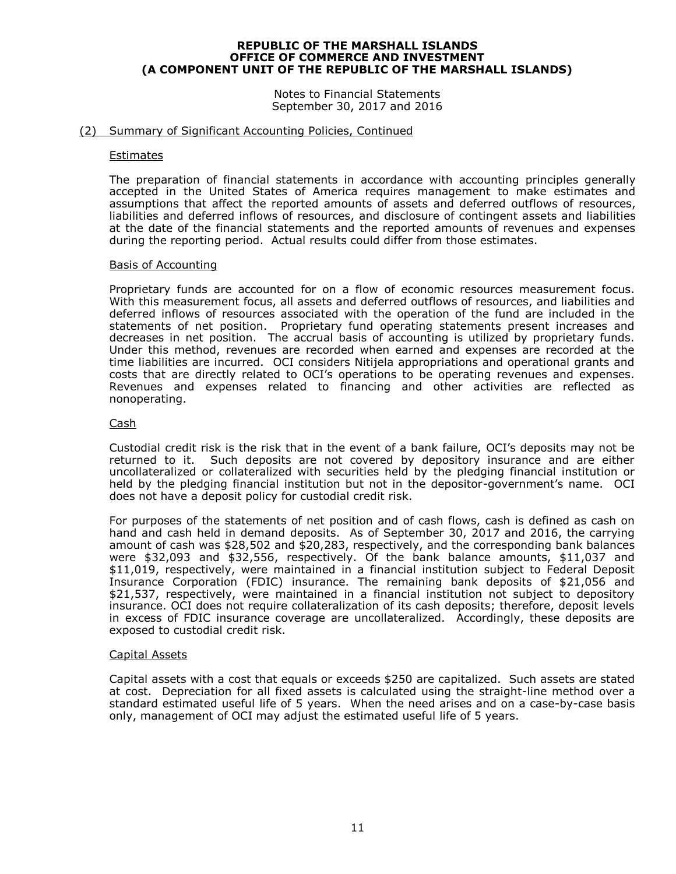Notes to Financial Statements September 30, 2017 and 2016

#### (2) Summary of Significant Accounting Policies, Continued

#### **Estimates**

The preparation of financial statements in accordance with accounting principles generally accepted in the United States of America requires management to make estimates and assumptions that affect the reported amounts of assets and deferred outflows of resources, liabilities and deferred inflows of resources, and disclosure of contingent assets and liabilities at the date of the financial statements and the reported amounts of revenues and expenses during the reporting period. Actual results could differ from those estimates.

#### Basis of Accounting

Proprietary funds are accounted for on a flow of economic resources measurement focus. With this measurement focus, all assets and deferred outflows of resources, and liabilities and deferred inflows of resources associated with the operation of the fund are included in the statements of net position. Proprietary fund operating statements present increases and decreases in net position. The accrual basis of accounting is utilized by proprietary funds. Under this method, revenues are recorded when earned and expenses are recorded at the time liabilities are incurred. OCI considers Nitijela appropriations and operational grants and costs that are directly related to OCI's operations to be operating revenues and expenses. Revenues and expenses related to financing and other activities are reflected as nonoperating.

#### Cash

Custodial credit risk is the risk that in the event of a bank failure, OCI's deposits may not be returned to it. Such deposits are not covered by depository insurance and are either uncollateralized or collateralized with securities held by the pledging financial institution or held by the pledging financial institution but not in the depositor-government's name. OCI does not have a deposit policy for custodial credit risk.

For purposes of the statements of net position and of cash flows, cash is defined as cash on hand and cash held in demand deposits. As of September 30, 2017 and 2016, the carrying amount of cash was \$28,502 and \$20,283, respectively, and the corresponding bank balances were \$32,093 and \$32,556, respectively. Of the bank balance amounts, \$11,037 and \$11,019, respectively, were maintained in a financial institution subject to Federal Deposit Insurance Corporation (FDIC) insurance. The remaining bank deposits of \$21,056 and \$21,537, respectively, were maintained in a financial institution not subject to depository insurance. OCI does not require collateralization of its cash deposits; therefore, deposit levels in excess of FDIC insurance coverage are uncollateralized. Accordingly, these deposits are exposed to custodial credit risk.

#### Capital Assets

Capital assets with a cost that equals or exceeds \$250 are capitalized. Such assets are stated at cost. Depreciation for all fixed assets is calculated using the straight-line method over a standard estimated useful life of 5 years. When the need arises and on a case-by-case basis only, management of OCI may adjust the estimated useful life of 5 years.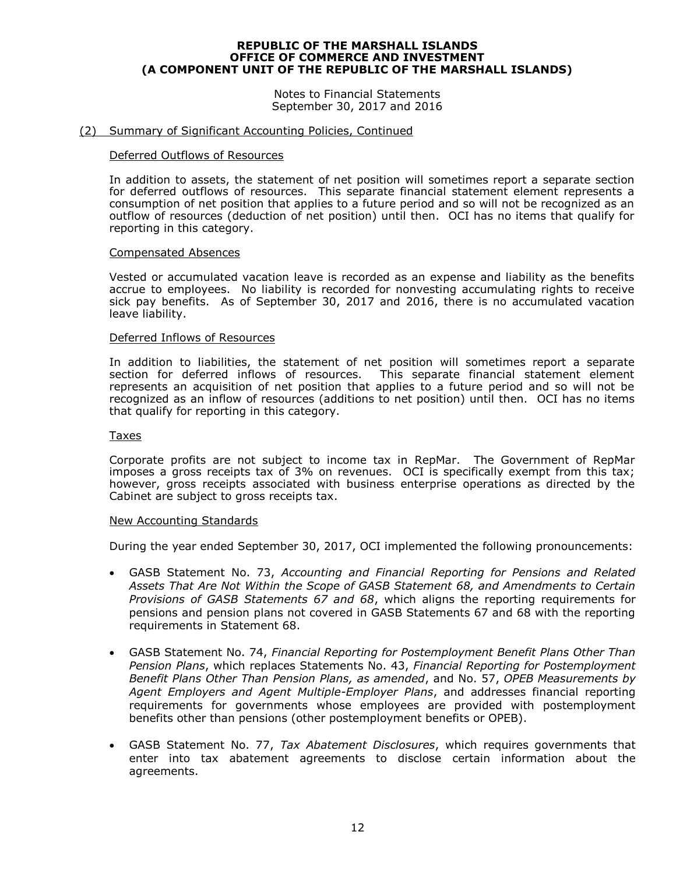Notes to Financial Statements September 30, 2017 and 2016

#### (2) Summary of Significant Accounting Policies, Continued

#### Deferred Outflows of Resources

In addition to assets, the statement of net position will sometimes report a separate section for deferred outflows of resources. This separate financial statement element represents a consumption of net position that applies to a future period and so will not be recognized as an outflow of resources (deduction of net position) until then. OCI has no items that qualify for reporting in this category.

#### Compensated Absences

Vested or accumulated vacation leave is recorded as an expense and liability as the benefits accrue to employees. No liability is recorded for nonvesting accumulating rights to receive sick pay benefits. As of September 30, 2017 and 2016, there is no accumulated vacation leave liability.

#### Deferred Inflows of Resources

In addition to liabilities, the statement of net position will sometimes report a separate section for deferred inflows of resources. This separate financial statement element represents an acquisition of net position that applies to a future period and so will not be recognized as an inflow of resources (additions to net position) until then. OCI has no items that qualify for reporting in this category.

#### Taxes

Corporate profits are not subject to income tax in RepMar. The Government of RepMar imposes a gross receipts tax of 3% on revenues. OCI is specifically exempt from this tax; however, gross receipts associated with business enterprise operations as directed by the Cabinet are subject to gross receipts tax.

#### New Accounting Standards

During the year ended September 30, 2017, OCI implemented the following pronouncements:

- GASB Statement No. 73, *Accounting and Financial Reporting for Pensions and Related Assets That Are Not Within the Scope of GASB Statement 68, and Amendments to Certain Provisions of GASB Statements 67 and 68*, which aligns the reporting requirements for pensions and pension plans not covered in GASB Statements 67 and 68 with the reporting requirements in Statement 68.
- GASB Statement No. 74, *Financial Reporting for Postemployment Benefit Plans Other Than Pension Plans*, which replaces Statements No. 43, *Financial Reporting for Postemployment Benefit Plans Other Than Pension Plans, as amended*, and No. 57, *OPEB Measurements by Agent Employers and Agent Multiple-Employer Plans*, and addresses financial reporting requirements for governments whose employees are provided with postemployment benefits other than pensions (other postemployment benefits or OPEB).
- GASB Statement No. 77, *Tax Abatement Disclosures*, which requires governments that enter into tax abatement agreements to disclose certain information about the agreements.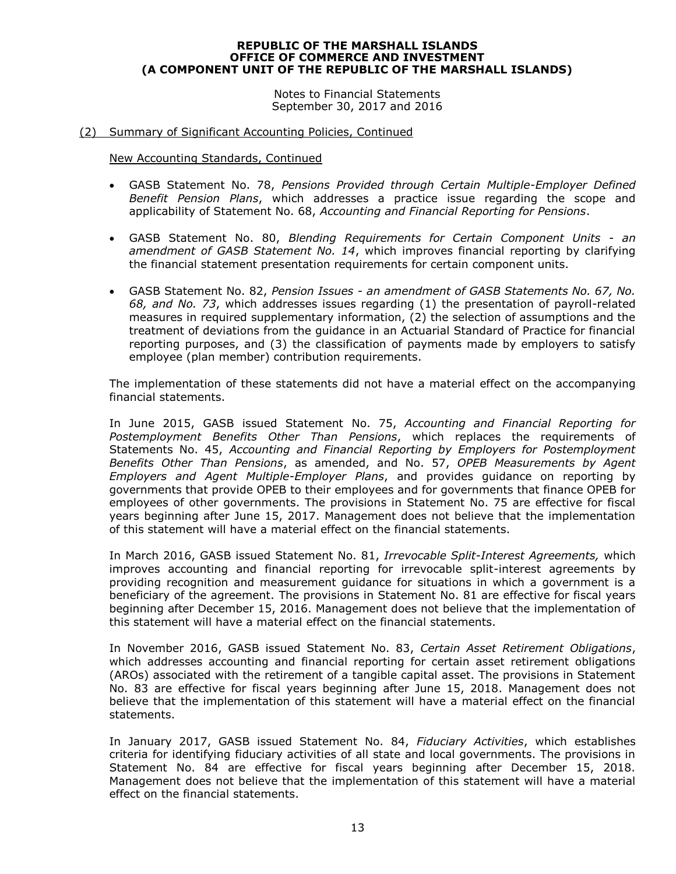Notes to Financial Statements September 30, 2017 and 2016

#### (2) Summary of Significant Accounting Policies, Continued

New Accounting Standards, Continued

- GASB Statement No. 78, *Pensions Provided through Certain Multiple-Employer Defined Benefit Pension Plans*, which addresses a practice issue regarding the scope and applicability of Statement No. 68, *Accounting and Financial Reporting for Pensions*.
- GASB Statement No. 80, *Blending Requirements for Certain Component Units - an amendment of GASB Statement No. 14*, which improves financial reporting by clarifying the financial statement presentation requirements for certain component units.
- GASB Statement No. 82, *Pension Issues - an amendment of GASB Statements No. 67, No. 68, and No. 73*, which addresses issues regarding (1) the presentation of payroll-related measures in required supplementary information, (2) the selection of assumptions and the treatment of deviations from the guidance in an Actuarial Standard of Practice for financial reporting purposes, and (3) the classification of payments made by employers to satisfy employee (plan member) contribution requirements.

The implementation of these statements did not have a material effect on the accompanying financial statements.

In June 2015, GASB issued Statement No. 75, *Accounting and Financial Reporting for Postemployment Benefits Other Than Pensions*, which replaces the requirements of Statements No. 45, *Accounting and Financial Reporting by Employers for Postemployment Benefits Other Than Pensions*, as amended, and No. 57, *OPEB Measurements by Agent Employers and Agent Multiple-Employer Plans*, and provides guidance on reporting by governments that provide OPEB to their employees and for governments that finance OPEB for employees of other governments. The provisions in Statement No. 75 are effective for fiscal years beginning after June 15, 2017. Management does not believe that the implementation of this statement will have a material effect on the financial statements.

In March 2016, GASB issued Statement No. 81, *Irrevocable Split-Interest Agreements,* which improves accounting and financial reporting for irrevocable split-interest agreements by providing recognition and measurement guidance for situations in which a government is a beneficiary of the agreement. The provisions in Statement No. 81 are effective for fiscal years beginning after December 15, 2016. Management does not believe that the implementation of this statement will have a material effect on the financial statements.

In November 2016, GASB issued Statement No. 83, *Certain Asset Retirement Obligations*, which addresses accounting and financial reporting for certain asset retirement obligations (AROs) associated with the retirement of a tangible capital asset. The provisions in Statement No. 83 are effective for fiscal years beginning after June 15, 2018. Management does not believe that the implementation of this statement will have a material effect on the financial statements.

In January 2017, GASB issued Statement No. 84, *Fiduciary Activities*, which establishes criteria for identifying fiduciary activities of all state and local governments. The provisions in Statement No. 84 are effective for fiscal years beginning after December 15, 2018. Management does not believe that the implementation of this statement will have a material effect on the financial statements.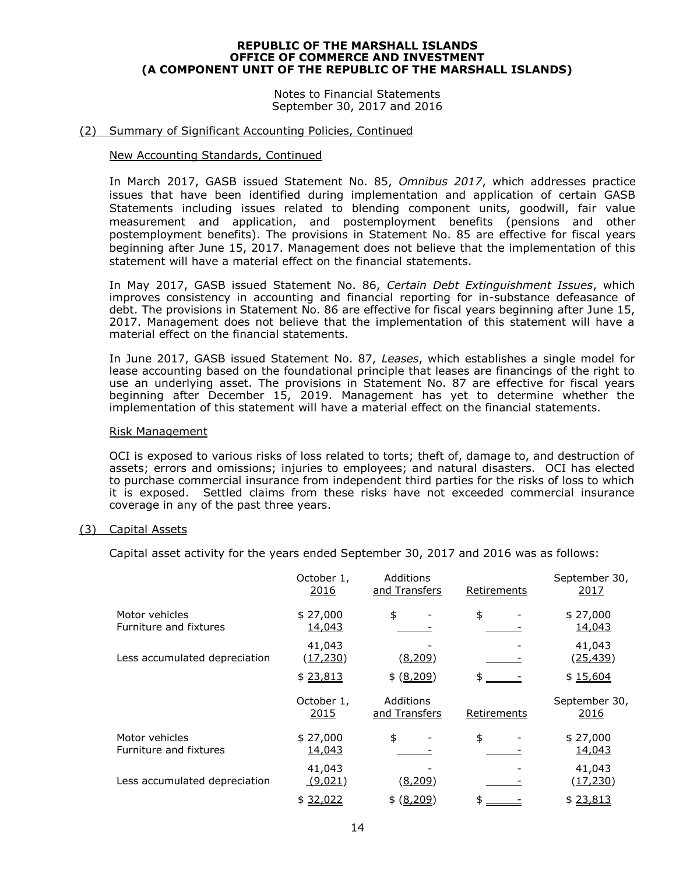Notes to Financial Statements September 30, 2017 and 2016

#### (2) Summary of Significant Accounting Policies, Continued

#### New Accounting Standards, Continued

In March 2017, GASB issued Statement No. 85, *Omnibus 2017*, which addresses practice issues that have been identified during implementation and application of certain GASB Statements including issues related to blending component units, goodwill, fair value measurement and application, and postemployment benefits (pensions and other postemployment benefits). The provisions in Statement No. 85 are effective for fiscal years beginning after June 15, 2017. Management does not believe that the implementation of this statement will have a material effect on the financial statements.

In May 2017, GASB issued Statement No. 86, *Certain Debt Extinguishment Issues*, which improves consistency in accounting and financial reporting for in-substance defeasance of debt. The provisions in Statement No. 86 are effective for fiscal years beginning after June 15, 2017. Management does not believe that the implementation of this statement will have a material effect on the financial statements.

In June 2017, GASB issued Statement No. 87, *Leases*, which establishes a single model for lease accounting based on the foundational principle that leases are financings of the right to use an underlying asset. The provisions in Statement No. 87 are effective for fiscal years beginning after December 15, 2019. Management has yet to determine whether the implementation of this statement will have a material effect on the financial statements.

#### Risk Management

OCI is exposed to various risks of loss related to torts; theft of, damage to, and destruction of assets; errors and omissions; injuries to employees; and natural disasters. OCI has elected to purchase commercial insurance from independent third parties for the risks of loss to which it is exposed. Settled claims from these risks have not exceeded commercial insurance coverage in any of the past three years.

#### (3) Capital Assets

Capital asset activity for the years ended September 30, 2017 and 2016 was as follows:

|                                          | October 1,<br>2016  | Additions<br>and Transfers | Retirements | September 30,<br>2017     |
|------------------------------------------|---------------------|----------------------------|-------------|---------------------------|
| Motor vehicles<br>Furniture and fixtures | \$27,000<br>14,043  | \$                         | \$          | \$27,000<br>14,043        |
| Less accumulated depreciation            | 41,043<br>(17, 230) | (8,209)                    |             | 41,043<br><u>(25,439)</u> |
|                                          | \$23,813            | \$ (8,209)                 | \$          | \$15,604                  |
|                                          | October 1,<br>2015  | Additions<br>and Transfers | Retirements | September 30,<br>2016     |
| Motor vehicles<br>Furniture and fixtures | \$27,000<br>14,043  | \$                         | \$          | \$27,000<br>14,043        |
| Less accumulated depreciation            | 41,043<br>(9,021)   | (8, 209)                   |             | 41,043<br>(17, 230)       |
|                                          | \$32,022            | \$ (8,209)                 |             | \$23,813                  |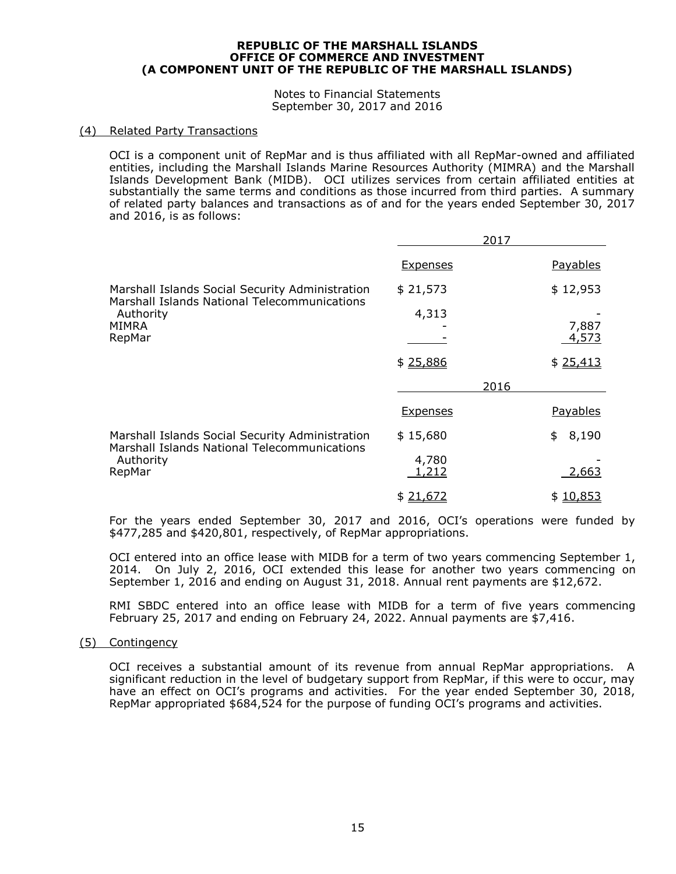Notes to Financial Statements September 30, 2017 and 2016

#### (4) Related Party Transactions

OCI is a component unit of RepMar and is thus affiliated with all RepMar-owned and affiliated entities, including the Marshall Islands Marine Resources Authority (MIMRA) and the Marshall Islands Development Bank (MIDB). OCI utilizes services from certain affiliated entities at substantially the same terms and conditions as those incurred from third parties. A summary of related party balances and transactions as of and for the years ended September 30, 2017 and 2016, is as follows:

|                                                                              |                 | 2017 |                |
|------------------------------------------------------------------------------|-----------------|------|----------------|
|                                                                              | <b>Expenses</b> |      | Payables       |
| Marshall Islands Social Security Administration                              | \$21,573        |      | \$12,953       |
| Marshall Islands National Telecommunications<br>Authority<br>MIMRA<br>RepMar | 4,313           |      | 7,887<br>4,573 |
|                                                                              | \$25,886        |      | \$25,413       |
|                                                                              |                 | 2016 |                |
|                                                                              | <b>Expenses</b> |      | Payables       |
| Marshall Islands Social Security Administration                              | \$15,680        |      | 8,190<br>\$.   |
| Marshall Islands National Telecommunications<br>Authority<br>RepMar          | 4,780<br>1,212  |      | 2,663          |
|                                                                              | \$21,672        |      | \$10,853       |

For the years ended September 30, 2017 and 2016, OCI's operations were funded by \$477,285 and \$420,801, respectively, of RepMar appropriations.

OCI entered into an office lease with MIDB for a term of two years commencing September 1, 2014. On July 2, 2016, OCI extended this lease for another two years commencing on September 1, 2016 and ending on August 31, 2018. Annual rent payments are \$12,672.

RMI SBDC entered into an office lease with MIDB for a term of five years commencing February 25, 2017 and ending on February 24, 2022. Annual payments are \$7,416.

(5) Contingency

OCI receives a substantial amount of its revenue from annual RepMar appropriations. A significant reduction in the level of budgetary support from RepMar, if this were to occur, may have an effect on OCI's programs and activities. For the year ended September 30, 2018, RepMar appropriated \$684,524 for the purpose of funding OCI's programs and activities.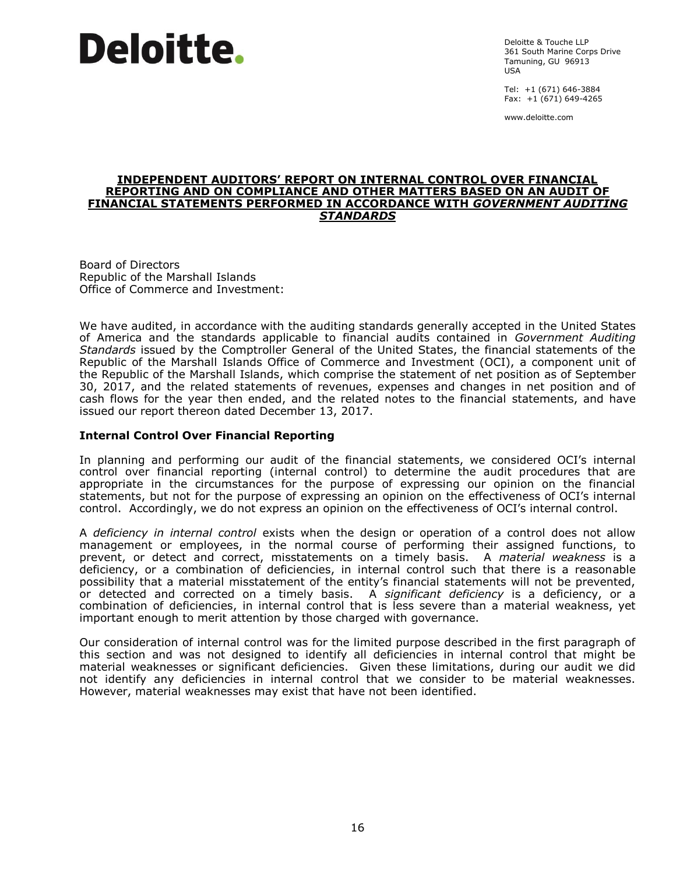# **Deloitte.**

Deloitte & Touche LLP 361 South Marine Corps Drive Tamuning, GU 96913 USA

Tel: +1 (671) 646-3884 Fax: +1 (671) 649-4265

www.deloitte.com

#### **INDEPENDENT AUDITORS' REPORT ON INTERNAL CONTROL OVER FINANCIAL REPORTING AND ON COMPLIANCE AND OTHER MATTERS BASED ON AN AUDIT OF FINANCIAL STATEMENTS PERFORMED IN ACCORDANCE WITH** *GOVERNMENT AUDITING STANDARDS*

Board of Directors Republic of the Marshall Islands Office of Commerce and Investment:

We have audited, in accordance with the auditing standards generally accepted in the United States of America and the standards applicable to financial audits contained in *Government Auditing Standards* issued by the Comptroller General of the United States, the financial statements of the Republic of the Marshall Islands Office of Commerce and Investment (OCI), a component unit of the Republic of the Marshall Islands, which comprise the statement of net position as of September 30, 2017, and the related statements of revenues, expenses and changes in net position and of cash flows for the year then ended, and the related notes to the financial statements, and have issued our report thereon dated December 13, 2017.

# **Internal Control Over Financial Reporting**

In planning and performing our audit of the financial statements, we considered OCI's internal control over financial reporting (internal control) to determine the audit procedures that are appropriate in the circumstances for the purpose of expressing our opinion on the financial statements, but not for the purpose of expressing an opinion on the effectiveness of OCI's internal control. Accordingly, we do not express an opinion on the effectiveness of OCI's internal control.

A *deficiency in internal control* exists when the design or operation of a control does not allow management or employees, in the normal course of performing their assigned functions, to prevent, or detect and correct, misstatements on a timely basis. A *material weakness* is a deficiency, or a combination of deficiencies, in internal control such that there is a reasonable possibility that a material misstatement of the entity's financial statements will not be prevented, or detected and corrected on a timely basis. A *significant deficiency* is a deficiency, or a combination of deficiencies, in internal control that is less severe than a material weakness, yet important enough to merit attention by those charged with governance.

Our consideration of internal control was for the limited purpose described in the first paragraph of this section and was not designed to identify all deficiencies in internal control that might be material weaknesses or significant deficiencies. Given these limitations, during our audit we did not identify any deficiencies in internal control that we consider to be material weaknesses. However, material weaknesses may exist that have not been identified.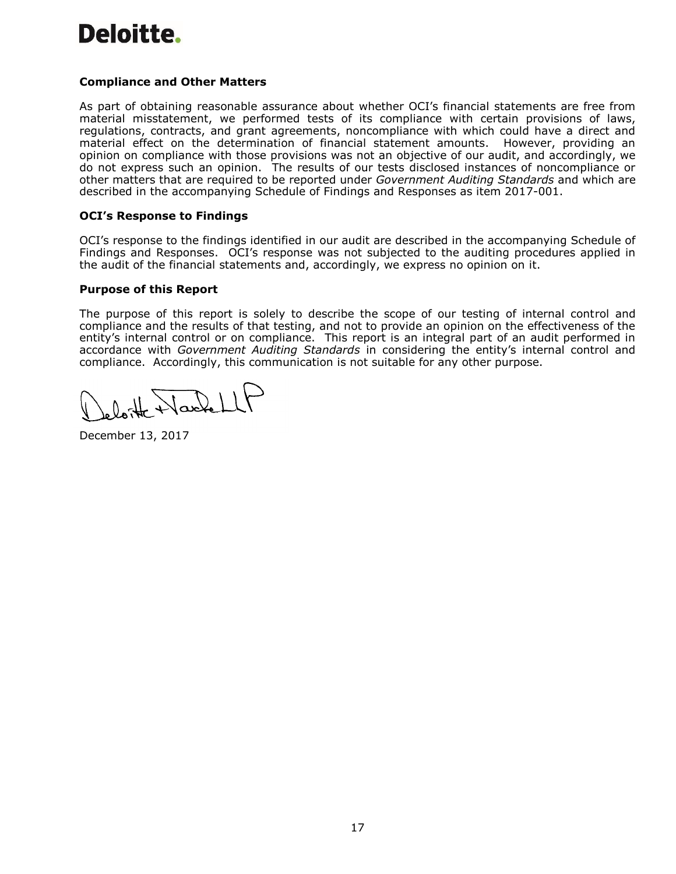# Deloitte.

# **Compliance and Other Matters**

As part of obtaining reasonable assurance about whether OCI's financial statements are free from material misstatement, we performed tests of its compliance with certain provisions of laws, regulations, contracts, and grant agreements, noncompliance with which could have a direct and material effect on the determination of financial statement amounts. However, providing an opinion on compliance with those provisions was not an objective of our audit, and accordingly, we do not express such an opinion. The results of our tests disclosed instances of noncompliance or other matters that are required to be reported under *Government Auditing Standards* and which are described in the accompanying Schedule of Findings and Responses as item 2017-001.

# **OCI's Response to Findings**

OCI's response to the findings identified in our audit are described in the accompanying Schedule of Findings and Responses. OCI's response was not subjected to the auditing procedures applied in the audit of the financial statements and, accordingly, we express no opinion on it.

# **Purpose of this Report**

The purpose of this report is solely to describe the scope of our testing of internal control and compliance and the results of that testing, and not to provide an opinion on the effectiveness of the entity's internal control or on compliance. This report is an integral part of an audit performed in accordance with *Government Auditing Standards* in considering the entity's internal control and compliance. Accordingly, this communication is not suitable for any other purpose.

loite Harlett

December 13, 2017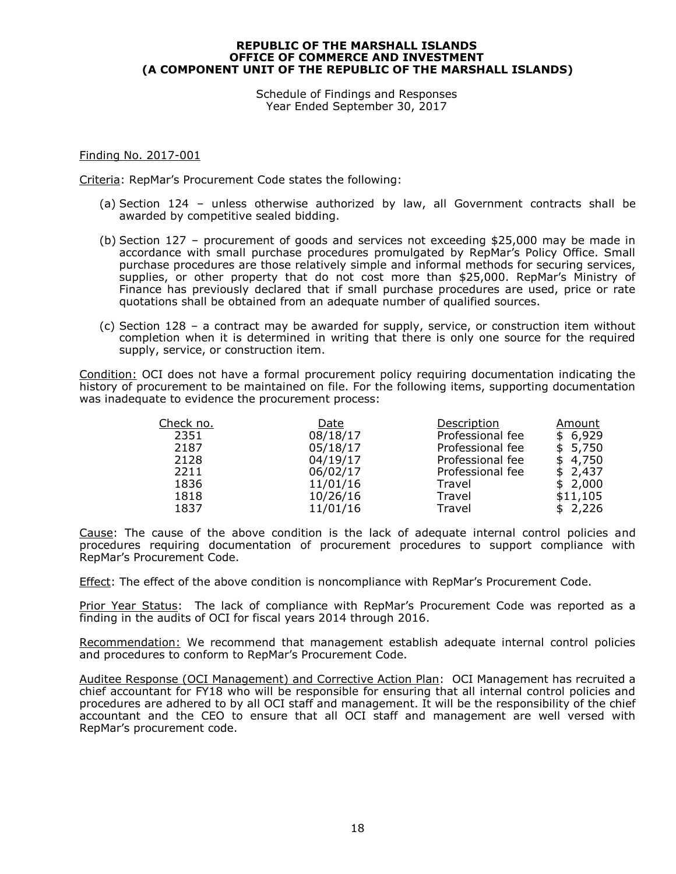Schedule of Findings and Responses Year Ended September 30, 2017

Finding No. 2017-001

Criteria: RepMar's Procurement Code states the following:

- (a) Section 124 unless otherwise authorized by law, all Government contracts shall be awarded by competitive sealed bidding.
- (b) Section 127 procurement of goods and services not exceeding \$25,000 may be made in accordance with small purchase procedures promulgated by RepMar's Policy Office. Small purchase procedures are those relatively simple and informal methods for securing services, supplies, or other property that do not cost more than \$25,000. RepMar's Ministry of Finance has previously declared that if small purchase procedures are used, price or rate quotations shall be obtained from an adequate number of qualified sources.
- (c) Section 128 a contract may be awarded for supply, service, or construction item without completion when it is determined in writing that there is only one source for the required supply, service, or construction item.

Condition: OCI does not have a formal procurement policy requiring documentation indicating the history of procurement to be maintained on file. For the following items, supporting documentation was inadequate to evidence the procurement process:

| Check no. | Date     | Description      | Amount   |
|-----------|----------|------------------|----------|
| 2351      | 08/18/17 | Professional fee | \$6,929  |
| 2187      | 05/18/17 | Professional fee | \$5,750  |
| 2128      | 04/19/17 | Professional fee | \$4,750  |
| 2211      | 06/02/17 | Professional fee | \$2,437  |
| 1836      | 11/01/16 | Travel           | \$2,000  |
| 1818      | 10/26/16 | Travel           | \$11,105 |
| 1837      | 11/01/16 | Travel           | \$2,226  |

Cause: The cause of the above condition is the lack of adequate internal control policies and procedures requiring documentation of procurement procedures to support compliance with RepMar's Procurement Code.

Effect: The effect of the above condition is noncompliance with RepMar's Procurement Code.

Prior Year Status: The lack of compliance with RepMar's Procurement Code was reported as a finding in the audits of OCI for fiscal years 2014 through 2016.

Recommendation: We recommend that management establish adequate internal control policies and procedures to conform to RepMar's Procurement Code.

Auditee Response (OCI Management) and Corrective Action Plan: OCI Management has recruited a chief accountant for FY18 who will be responsible for ensuring that all internal control policies and procedures are adhered to by all OCI staff and management. It will be the responsibility of the chief accountant and the CEO to ensure that all OCI staff and management are well versed with RepMar's procurement code.